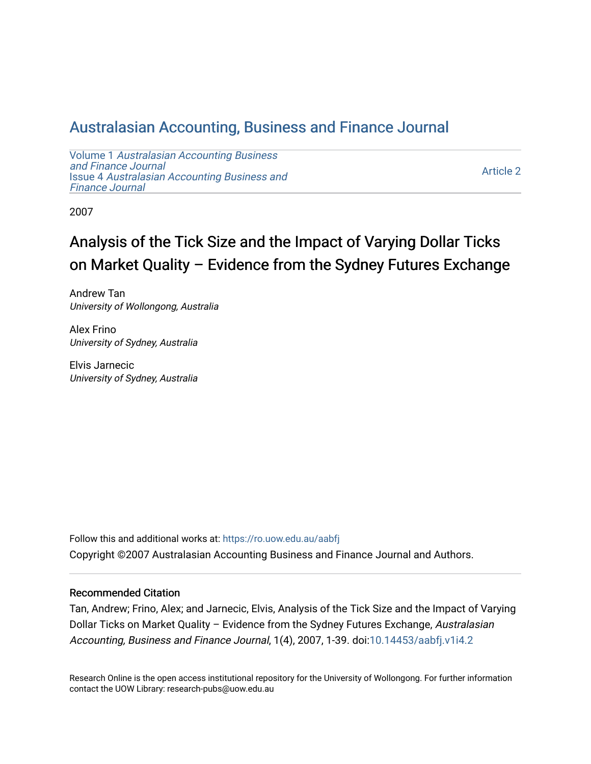## [Australasian Accounting, Business and Finance Journal](https://ro.uow.edu.au/aabfj)

Volume 1 [Australasian Accounting Business](https://ro.uow.edu.au/aabfj/vol1) [and Finance Journal](https://ro.uow.edu.au/aabfj/vol1)  Issue 4 [Australasian Accounting Business and](https://ro.uow.edu.au/aabfj/vol1/iss4) [Finance Journal](https://ro.uow.edu.au/aabfj/vol1/iss4) 

[Article 2](https://ro.uow.edu.au/aabfj/vol1/iss4/2) 

2007

# Analysis of the Tick Size and the Impact of Varying Dollar Ticks on Market Quality – Evidence from the Sydney Futures Exchange

Andrew Tan University of Wollongong, Australia

Alex Frino University of Sydney, Australia

Elvis Jarnecic University of Sydney, Australia

Follow this and additional works at: [https://ro.uow.edu.au/aabfj](https://ro.uow.edu.au/aabfj?utm_source=ro.uow.edu.au%2Faabfj%2Fvol1%2Fiss4%2F2&utm_medium=PDF&utm_campaign=PDFCoverPages) Copyright ©2007 Australasian Accounting Business and Finance Journal and Authors.

#### Recommended Citation

Tan, Andrew; Frino, Alex; and Jarnecic, Elvis, Analysis of the Tick Size and the Impact of Varying Dollar Ticks on Market Quality - Evidence from the Sydney Futures Exchange, Australasian Accounting, Business and Finance Journal, 1(4), 2007, 1-39. doi:[10.14453/aabfj.v1i4.2](http://dx.doi.org/10.14453/aabfj.v1i4.2) 

Research Online is the open access institutional repository for the University of Wollongong. For further information contact the UOW Library: research-pubs@uow.edu.au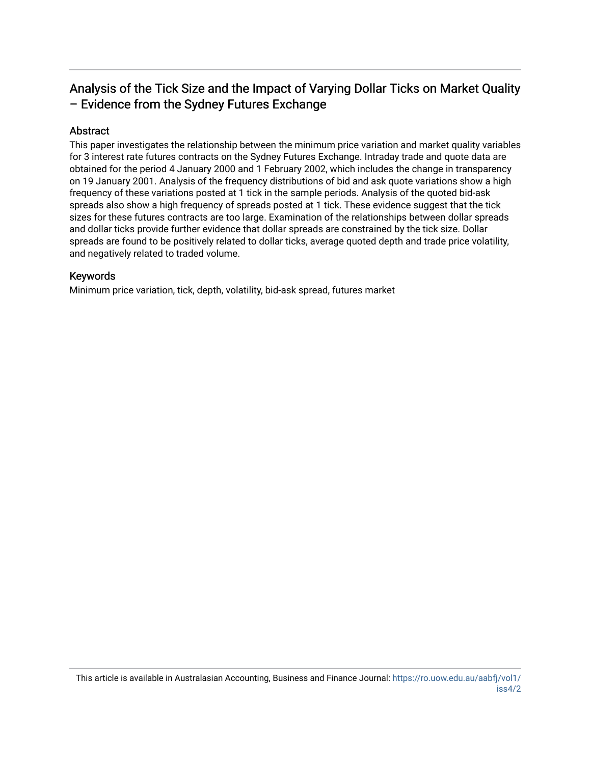## Analysis of the Tick Size and the Impact of Varying Dollar Ticks on Market Quality – Evidence from the Sydney Futures Exchange

#### Abstract

This paper investigates the relationship between the minimum price variation and market quality variables for 3 interest rate futures contracts on the Sydney Futures Exchange. Intraday trade and quote data are obtained for the period 4 January 2000 and 1 February 2002, which includes the change in transparency on 19 January 2001. Analysis of the frequency distributions of bid and ask quote variations show a high frequency of these variations posted at 1 tick in the sample periods. Analysis of the quoted bid-ask spreads also show a high frequency of spreads posted at 1 tick. These evidence suggest that the tick sizes for these futures contracts are too large. Examination of the relationships between dollar spreads and dollar ticks provide further evidence that dollar spreads are constrained by the tick size. Dollar spreads are found to be positively related to dollar ticks, average quoted depth and trade price volatility, and negatively related to traded volume.

#### Keywords

Minimum price variation, tick, depth, volatility, bid-ask spread, futures market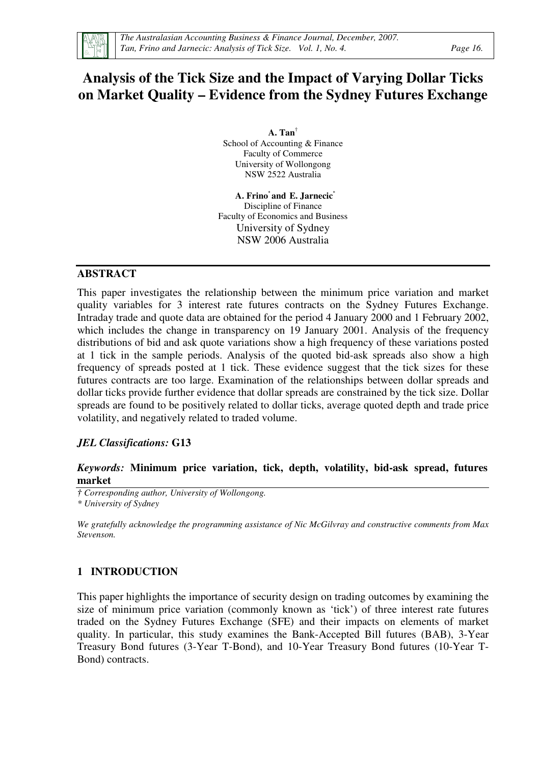

## **Analysis of the Tick Size and the Impact of Varying Dollar Ticks on Market Quality – Evidence from the Sydney Futures Exchange**

**A. Tan**† School of Accounting & Finance Faculty of Commerce University of Wollongong NSW 2522 Australia

 **A. Frino\* and E. Jarnecic\*** Discipline of Finance Faculty of Economics and Business University of Sydney NSW 2006 Australia

#### **ABSTRACT**

This paper investigates the relationship between the minimum price variation and market quality variables for 3 interest rate futures contracts on the Sydney Futures Exchange. Intraday trade and quote data are obtained for the period 4 January 2000 and 1 February 2002, which includes the change in transparency on 19 January 2001. Analysis of the frequency distributions of bid and ask quote variations show a high frequency of these variations posted at 1 tick in the sample periods. Analysis of the quoted bid-ask spreads also show a high frequency of spreads posted at 1 tick. These evidence suggest that the tick sizes for these futures contracts are too large. Examination of the relationships between dollar spreads and dollar ticks provide further evidence that dollar spreads are constrained by the tick size. Dollar spreads are found to be positively related to dollar ticks, average quoted depth and trade price volatility, and negatively related to traded volume.

### *JEL Classifications:* **G13**

#### *Keywords:* **Minimum price variation, tick, depth, volatility, bid-ask spread, futures market**

*† Corresponding author, University of Wollongong. \* University of Sydney* 

*We gratefully acknowledge the programming assistance of Nic McGilvray and constructive comments from Max Stevenson.*

#### **1 INTRODUCTION**

This paper highlights the importance of security design on trading outcomes by examining the size of minimum price variation (commonly known as 'tick') of three interest rate futures traded on the Sydney Futures Exchange (SFE) and their impacts on elements of market quality. In particular, this study examines the Bank-Accepted Bill futures (BAB), 3-Year Treasury Bond futures (3-Year T-Bond), and 10-Year Treasury Bond futures (10-Year T-Bond) contracts.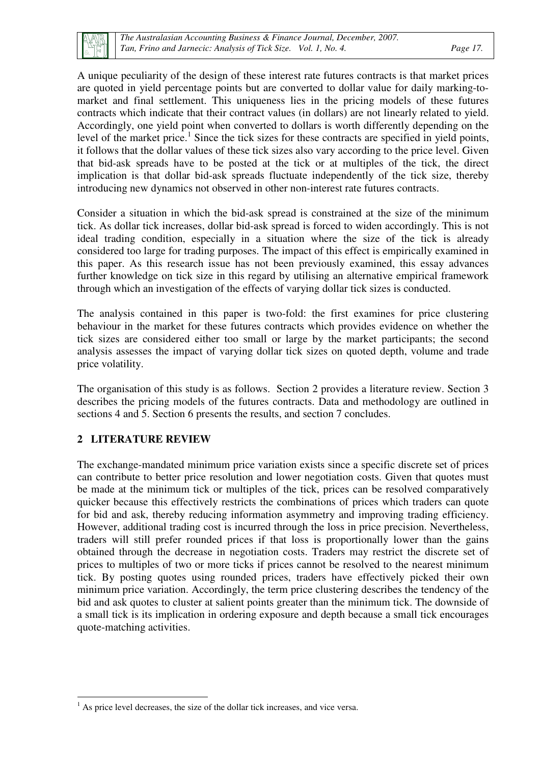A unique peculiarity of the design of these interest rate futures contracts is that market prices are quoted in yield percentage points but are converted to dollar value for daily marking-tomarket and final settlement. This uniqueness lies in the pricing models of these futures contracts which indicate that their contract values (in dollars) are not linearly related to yield. Accordingly, one yield point when converted to dollars is worth differently depending on the level of the market price.<sup>1</sup> Since the tick sizes for these contracts are specified in yield points, it follows that the dollar values of these tick sizes also vary according to the price level. Given that bid-ask spreads have to be posted at the tick or at multiples of the tick, the direct implication is that dollar bid-ask spreads fluctuate independently of the tick size, thereby introducing new dynamics not observed in other non-interest rate futures contracts.

Consider a situation in which the bid-ask spread is constrained at the size of the minimum tick. As dollar tick increases, dollar bid-ask spread is forced to widen accordingly. This is not ideal trading condition, especially in a situation where the size of the tick is already considered too large for trading purposes. The impact of this effect is empirically examined in this paper. As this research issue has not been previously examined, this essay advances further knowledge on tick size in this regard by utilising an alternative empirical framework through which an investigation of the effects of varying dollar tick sizes is conducted.

The analysis contained in this paper is two-fold: the first examines for price clustering behaviour in the market for these futures contracts which provides evidence on whether the tick sizes are considered either too small or large by the market participants; the second analysis assesses the impact of varying dollar tick sizes on quoted depth, volume and trade price volatility.

The organisation of this study is as follows. Section 2 provides a literature review. Section 3 describes the pricing models of the futures contracts. Data and methodology are outlined in sections 4 and 5. Section 6 presents the results, and section 7 concludes.

#### **2 LITERATURE REVIEW**

The exchange-mandated minimum price variation exists since a specific discrete set of prices can contribute to better price resolution and lower negotiation costs. Given that quotes must be made at the minimum tick or multiples of the tick, prices can be resolved comparatively quicker because this effectively restricts the combinations of prices which traders can quote for bid and ask, thereby reducing information asymmetry and improving trading efficiency. However, additional trading cost is incurred through the loss in price precision. Nevertheless, traders will still prefer rounded prices if that loss is proportionally lower than the gains obtained through the decrease in negotiation costs. Traders may restrict the discrete set of prices to multiples of two or more ticks if prices cannot be resolved to the nearest minimum tick. By posting quotes using rounded prices, traders have effectively picked their own minimum price variation. Accordingly, the term price clustering describes the tendency of the bid and ask quotes to cluster at salient points greater than the minimum tick. The downside of a small tick is its implication in ordering exposure and depth because a small tick encourages quote-matching activities.

 $\overline{a}$ <sup>1</sup> As price level decreases, the size of the dollar tick increases, and vice versa.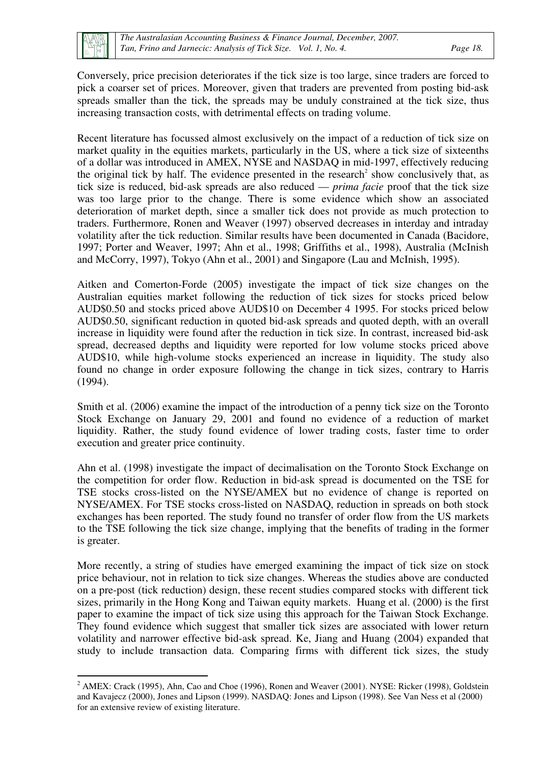Conversely, price precision deteriorates if the tick size is too large, since traders are forced to pick a coarser set of prices. Moreover, given that traders are prevented from posting bid-ask spreads smaller than the tick, the spreads may be unduly constrained at the tick size, thus increasing transaction costs, with detrimental effects on trading volume.

Recent literature has focussed almost exclusively on the impact of a reduction of tick size on market quality in the equities markets, particularly in the US, where a tick size of sixteenths of a dollar was introduced in AMEX, NYSE and NASDAQ in mid-1997, effectively reducing the original tick by half. The evidence presented in the research<sup>2</sup> show conclusively that, as tick size is reduced, bid-ask spreads are also reduced — *prima facie* proof that the tick size was too large prior to the change. There is some evidence which show an associated deterioration of market depth, since a smaller tick does not provide as much protection to traders. Furthermore, Ronen and Weaver (1997) observed decreases in interday and intraday volatility after the tick reduction. Similar results have been documented in Canada (Bacidore, 1997; Porter and Weaver, 1997; Ahn et al., 1998; Griffiths et al., 1998), Australia (McInish and McCorry, 1997), Tokyo (Ahn et al., 2001) and Singapore (Lau and McInish, 1995).

Aitken and Comerton-Forde (2005) investigate the impact of tick size changes on the Australian equities market following the reduction of tick sizes for stocks priced below AUD\$0.50 and stocks priced above AUD\$10 on December 4 1995. For stocks priced below AUD\$0.50, significant reduction in quoted bid-ask spreads and quoted depth, with an overall increase in liquidity were found after the reduction in tick size. In contrast, increased bid-ask spread, decreased depths and liquidity were reported for low volume stocks priced above AUD\$10, while high-volume stocks experienced an increase in liquidity. The study also found no change in order exposure following the change in tick sizes, contrary to Harris (1994).

Smith et al. (2006) examine the impact of the introduction of a penny tick size on the Toronto Stock Exchange on January 29, 2001 and found no evidence of a reduction of market liquidity. Rather, the study found evidence of lower trading costs, faster time to order execution and greater price continuity.

Ahn et al. (1998) investigate the impact of decimalisation on the Toronto Stock Exchange on the competition for order flow. Reduction in bid-ask spread is documented on the TSE for TSE stocks cross-listed on the NYSE/AMEX but no evidence of change is reported on NYSE/AMEX. For TSE stocks cross-listed on NASDAQ, reduction in spreads on both stock exchanges has been reported. The study found no transfer of order flow from the US markets to the TSE following the tick size change, implying that the benefits of trading in the former is greater.

More recently, a string of studies have emerged examining the impact of tick size on stock price behaviour, not in relation to tick size changes. Whereas the studies above are conducted on a pre-post (tick reduction) design, these recent studies compared stocks with different tick sizes, primarily in the Hong Kong and Taiwan equity markets. Huang et al. (2000) is the first paper to examine the impact of tick size using this approach for the Taiwan Stock Exchange. They found evidence which suggest that smaller tick sizes are associated with lower return volatility and narrower effective bid-ask spread. Ke, Jiang and Huang (2004) expanded that study to include transaction data. Comparing firms with different tick sizes, the study

 $\overline{a}$  $2$  AMEX: Crack (1995), Ahn, Cao and Choe (1996), Ronen and Weaver (2001). NYSE: Ricker (1998), Goldstein and Kavajecz (2000), Jones and Lipson (1999). NASDAQ: Jones and Lipson (1998). See Van Ness et al (2000) for an extensive review of existing literature.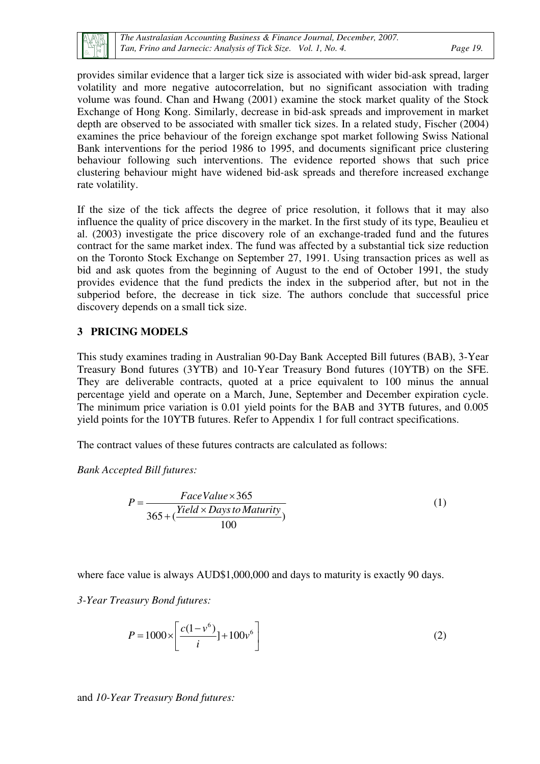provides similar evidence that a larger tick size is associated with wider bid-ask spread, larger volatility and more negative autocorrelation, but no significant association with trading volume was found. Chan and Hwang (2001) examine the stock market quality of the Stock Exchange of Hong Kong. Similarly, decrease in bid-ask spreads and improvement in market depth are observed to be associated with smaller tick sizes. In a related study, Fischer (2004) examines the price behaviour of the foreign exchange spot market following Swiss National Bank interventions for the period 1986 to 1995, and documents significant price clustering behaviour following such interventions. The evidence reported shows that such price clustering behaviour might have widened bid-ask spreads and therefore increased exchange rate volatility.

If the size of the tick affects the degree of price resolution, it follows that it may also influence the quality of price discovery in the market. In the first study of its type, Beaulieu et al. (2003) investigate the price discovery role of an exchange-traded fund and the futures contract for the same market index. The fund was affected by a substantial tick size reduction on the Toronto Stock Exchange on September 27, 1991. Using transaction prices as well as bid and ask quotes from the beginning of August to the end of October 1991, the study provides evidence that the fund predicts the index in the subperiod after, but not in the subperiod before, the decrease in tick size. The authors conclude that successful price discovery depends on a small tick size.

#### **3 PRICING MODELS**

This study examines trading in Australian 90-Day Bank Accepted Bill futures (BAB), 3-Year Treasury Bond futures (3YTB) and 10-Year Treasury Bond futures (10YTB) on the SFE. They are deliverable contracts, quoted at a price equivalent to 100 minus the annual percentage yield and operate on a March, June, September and December expiration cycle. The minimum price variation is 0.01 yield points for the BAB and 3YTB futures, and 0.005 yield points for the 10YTB futures. Refer to Appendix 1 for full contract specifications.

The contract values of these futures contracts are calculated as follows:

*Bank Accepted Bill futures:* 

$$
P = \frac{FaceValue \times 365}{365 + (\frac{Yield \times Days to Maturity}{100})}
$$
 (1)

where face value is always AUD\$1,000,000 and days to maturity is exactly 90 days.

*3-Year Treasury Bond futures:* 

$$
P = 1000 \times \left[ \frac{c(1 - v^{6})}{i} \right] + 100v^{6} \tag{2}
$$

and *10-Year Treasury Bond futures:*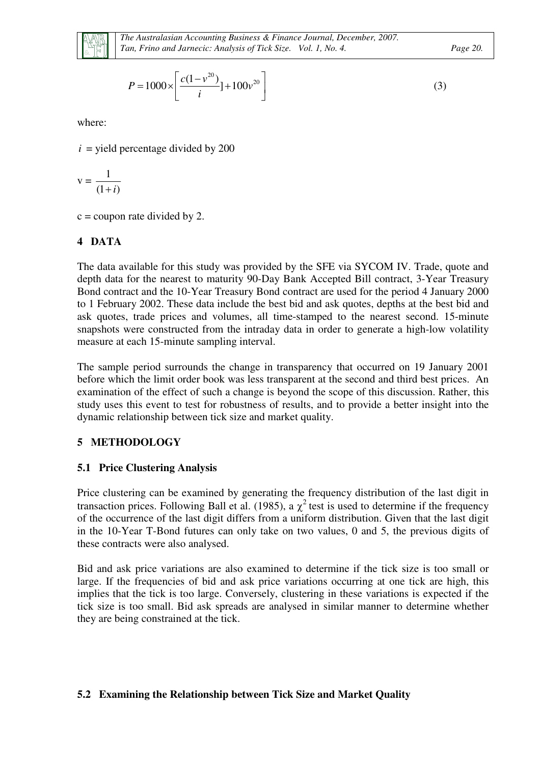

$$
P = 1000 \times \left[ \frac{c(1 - v^{20})}{i} \right] + 100v^{20} \tag{3}
$$

where:

 $i =$  yield percentage divided by 200

$$
v = \frac{1}{(1+i)}
$$

 $c =$  coupon rate divided by 2.

### **4 DATA**

The data available for this study was provided by the SFE via SYCOM IV. Trade, quote and depth data for the nearest to maturity 90-Day Bank Accepted Bill contract, 3-Year Treasury Bond contract and the 10-Year Treasury Bond contract are used for the period 4 January 2000 to 1 February 2002. These data include the best bid and ask quotes, depths at the best bid and ask quotes, trade prices and volumes, all time-stamped to the nearest second. 15-minute snapshots were constructed from the intraday data in order to generate a high-low volatility measure at each 15-minute sampling interval.

The sample period surrounds the change in transparency that occurred on 19 January 2001 before which the limit order book was less transparent at the second and third best prices. An examination of the effect of such a change is beyond the scope of this discussion. Rather, this study uses this event to test for robustness of results, and to provide a better insight into the dynamic relationship between tick size and market quality.

### **5 METHODOLOGY**

#### **5.1 Price Clustering Analysis**

Price clustering can be examined by generating the frequency distribution of the last digit in transaction prices. Following Ball et al. (1985), a  $\chi^2$  test is used to determine if the frequency of the occurrence of the last digit differs from a uniform distribution. Given that the last digit in the 10-Year T-Bond futures can only take on two values, 0 and 5, the previous digits of these contracts were also analysed.

Bid and ask price variations are also examined to determine if the tick size is too small or large. If the frequencies of bid and ask price variations occurring at one tick are high, this implies that the tick is too large. Conversely, clustering in these variations is expected if the tick size is too small. Bid ask spreads are analysed in similar manner to determine whether they are being constrained at the tick.

#### **5.2 Examining the Relationship between Tick Size and Market Quality**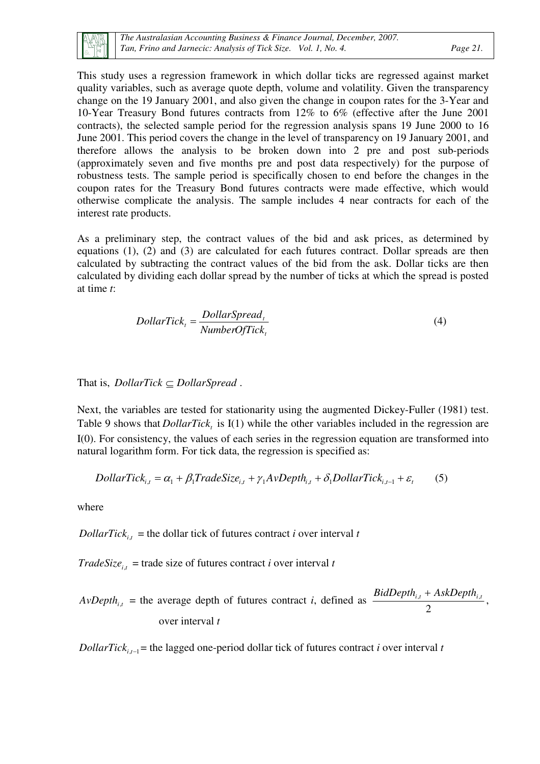

This study uses a regression framework in which dollar ticks are regressed against market quality variables, such as average quote depth, volume and volatility. Given the transparency change on the 19 January 2001, and also given the change in coupon rates for the 3-Year and 10-Year Treasury Bond futures contracts from 12% to 6% (effective after the June 2001 contracts), the selected sample period for the regression analysis spans 19 June 2000 to 16 June 2001. This period covers the change in the level of transparency on 19 January 2001, and therefore allows the analysis to be broken down into 2 pre and post sub-periods (approximately seven and five months pre and post data respectively) for the purpose of robustness tests. The sample period is specifically chosen to end before the changes in the coupon rates for the Treasury Bond futures contracts were made effective, which would otherwise complicate the analysis. The sample includes 4 near contracts for each of the interest rate products.

As a preliminary step, the contract values of the bid and ask prices, as determined by equations (1), (2) and (3) are calculated for each futures contract. Dollar spreads are then calculated by subtracting the contract values of the bid from the ask. Dollar ticks are then calculated by dividing each dollar spread by the number of ticks at which the spread is posted at time *t*:

$$
DollarTick_{t} = \frac{DollarSpeed_{t}}{NumberOfTick_{t}}
$$
\n(4)

That is, *DollarTick* ⊆ *DollarSpread* .

Next, the variables are tested for stationarity using the augmented Dickey-Fuller (1981) test. Table 9 shows that *DollarTick*<sub>t</sub> is I(1) while the other variables included in the regression are I(0). For consistency, the values of each series in the regression equation are transformed into natural logarithm form. For tick data, the regression is specified as:

$$
DollarTick_{i,t} = \alpha_1 + \beta_1 TradeSize_{i,t} + \gamma_1 AvDepth_{i,t} + \delta_1 DollarTick_{i,t-1} + \varepsilon_t
$$
 (5)

where

*DollarTick*<sub>*i*,*t*</sub> = the dollar tick of futures contract *i* over interval *t* 

*TradeSize*<sub>*i*,*t*</sub> = trade size of futures contract *i* over interval *t* 

 $AvDepth_{i,t}$  = the average depth of futures contract *i*, defined as 2  $BidDepth_{i,t}$  +  $AskDepth_{i,t}$ , over interval *t*

*DollarTick*<sub> $i,t-1$ </sub> = the lagged one-period dollar tick of futures contract *i* over interval *t*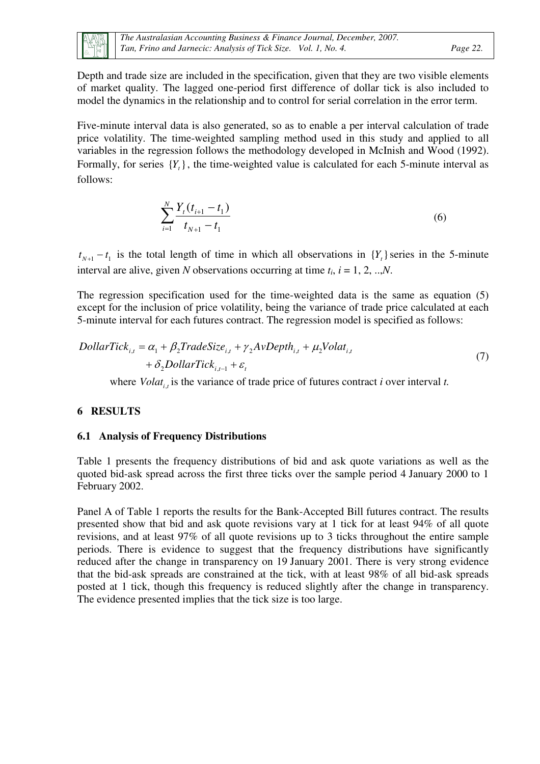

Depth and trade size are included in the specification, given that they are two visible elements of market quality. The lagged one-period first difference of dollar tick is also included to model the dynamics in the relationship and to control for serial correlation in the error term.

Five-minute interval data is also generated, so as to enable a per interval calculation of trade price volatility. The time-weighted sampling method used in this study and applied to all variables in the regression follows the methodology developed in McInish and Wood (1992). Formally, for series  ${Y_t}$ , the time-weighted value is calculated for each 5-minute interval as follows:

$$
\sum_{i=1}^{N} \frac{Y_{t}(t_{i+1} - t_{1})}{t_{N+1} - t_{1}}
$$
\n(6)

 $t_{N+1} - t_1$  is the total length of time in which all observations in  ${Y_t}$  series in the 5-minute interval are alive, given *N* observations occurring at time  $t_i$ ,  $i = 1, 2, ..., N$ .

The regression specification used for the time-weighted data is the same as equation (5) except for the inclusion of price volatility, being the variance of trade price calculated at each 5-minute interval for each futures contract. The regression model is specified as follows:

$$
DollarTick_{i,t} = \alpha_1 + \beta_2 TradeSize_{i,t} + \gamma_2 AvDepth_{i,t} + \mu_2 Volat_{i,t} + \delta_2 DollarTick_{i,t-1} + \varepsilon_t
$$
\n
$$
(7)
$$

where  $Volat_{i,t}$  is the variance of trade price of futures contract *i* over interval *t*.

#### **6 RESULTS**

#### **6.1 Analysis of Frequency Distributions**

Table 1 presents the frequency distributions of bid and ask quote variations as well as the quoted bid-ask spread across the first three ticks over the sample period 4 January 2000 to 1 February 2002.

Panel A of Table 1 reports the results for the Bank-Accepted Bill futures contract. The results presented show that bid and ask quote revisions vary at 1 tick for at least 94% of all quote revisions, and at least 97% of all quote revisions up to 3 ticks throughout the entire sample periods. There is evidence to suggest that the frequency distributions have significantly reduced after the change in transparency on 19 January 2001. There is very strong evidence that the bid-ask spreads are constrained at the tick, with at least 98% of all bid-ask spreads posted at 1 tick, though this frequency is reduced slightly after the change in transparency. The evidence presented implies that the tick size is too large.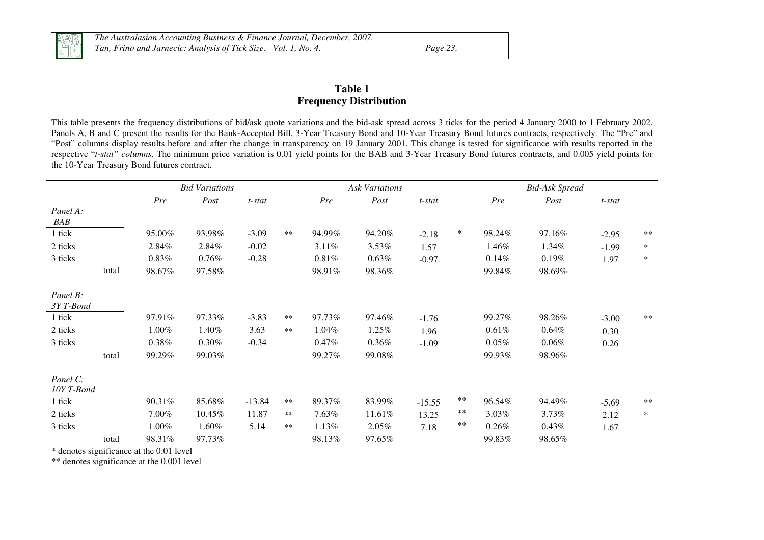*The Australasian Accounting Business & Finance Journal, December, 2007. Tan, Frino and Jarnecic: Analysis of Tick Size. Vol. 1, No. 4. Page 23.* 

#### **Table 1 Frequency Distribution**

This table presents the frequency distributions of bid/ask quote variations and the bid-ask spread across 3 ticks for the period 4 January 2000 to 1 February 2002. Panels A, B and C present the results for the Bank-Accepted Bill, 3-Year Treasury Bond and 10-Year Treasury Bond futures contracts, respectively. The "Pre" and "Post" columns display results before and after the change in transparency on 19 January 2001. This change is tested for significance with results reported in the respective "*t-stat" columns.* The minimum price variation is 0.01 yield points for the BAB and 3-Year Treasury Bond futures contracts, and 0.005 yield points for the 10-Year Treasury Bond futures contract.

|                        |       |          | <b>Bid Variations</b> |          |       |          | <b>Ask Variations</b> |          |        |          | <b>Bid-Ask Spread</b> |         |        |
|------------------------|-------|----------|-----------------------|----------|-------|----------|-----------------------|----------|--------|----------|-----------------------|---------|--------|
|                        |       | Pre      | Post                  | t-stat   |       | Pre      | Post                  | t-stat   |        | Pre      | Post                  | t-stat  |        |
| Panel A:<br>BAB        |       |          |                       |          |       |          |                       |          |        |          |                       |         |        |
| 1 tick                 |       | 95.00%   | 93.98%                | $-3.09$  | $**$  | 94.99%   | 94.20%                | $-2.18$  | $\ast$ | 98.24%   | 97.16%                | $-2.95$ | $**$   |
| 2 ticks                |       | 2.84%    | 2.84%                 | $-0.02$  |       | 3.11%    | 3.53%                 | 1.57     |        | 1.46%    | 1.34%                 | $-1.99$ | $\ast$ |
| 3 ticks                |       | $0.83\%$ | $0.76\%$              | $-0.28$  |       | $0.81\%$ | 0.63%                 | $-0.97$  |        | 0.14%    | 0.19%                 | 1.97    | $\ast$ |
|                        | total | 98.67%   | 97.58%                |          |       | 98.91%   | 98.36%                |          |        | 99.84%   | 98.69%                |         |        |
| Panel B:<br>3YT-Bond   |       |          |                       |          |       |          |                       |          |        |          |                       |         |        |
| 1 tick                 |       | 97.91%   | 97.33%                | $-3.83$  | $**$  | 97.73%   | 97.46%                | $-1.76$  |        | 99.27%   | 98.26%                | $-3.00$ | $**$   |
| 2 ticks                |       | 1.00%    | 1.40%                 | 3.63     | $**$  | 1.04%    | 1.25%                 | 1.96     |        | 0.61%    | 0.64%                 | 0.30    |        |
| 3 ticks                |       | $0.38\%$ | $0.30\%$              | $-0.34$  |       | 0.47%    | $0.36\%$              | $-1.09$  |        | $0.05\%$ | $0.06\%$              | 0.26    |        |
|                        | total | 99.29%   | 99.03%                |          |       | 99.27%   | 99.08%                |          |        | 99.93%   | 98.96%                |         |        |
| Panel C:<br>10Y T-Bond |       |          |                       |          |       |          |                       |          |        |          |                       |         |        |
| 1 tick                 |       | 90.31%   | 85.68%                | $-13.84$ | $**$  | 89.37%   | 83.99%                | $-15.55$ | $***$  | 96.54%   | 94.49%                | $-5.69$ | $**$   |
| 2 ticks                |       | 7.00%    | 10.45%                | 11.87    | $***$ | 7.63%    | 11.61%                | 13.25    | **     | 3.03%    | 3.73%                 | 2.12    | $\ast$ |
| 3 ticks                |       | 1.00%    | 1.60%                 | 5.14     | $**$  | 1.13%    | $2.05\%$              | 7.18     | **     | 0.26%    | $0.43\%$              | 1.67    |        |
|                        | total | 98.31%   | 97.73%                |          |       | 98.13%   | 97.65%                |          |        | 99.83%   | 98.65%                |         |        |

\* denotes significance at the 0.01 level

\*\* denotes significance at the 0.001 level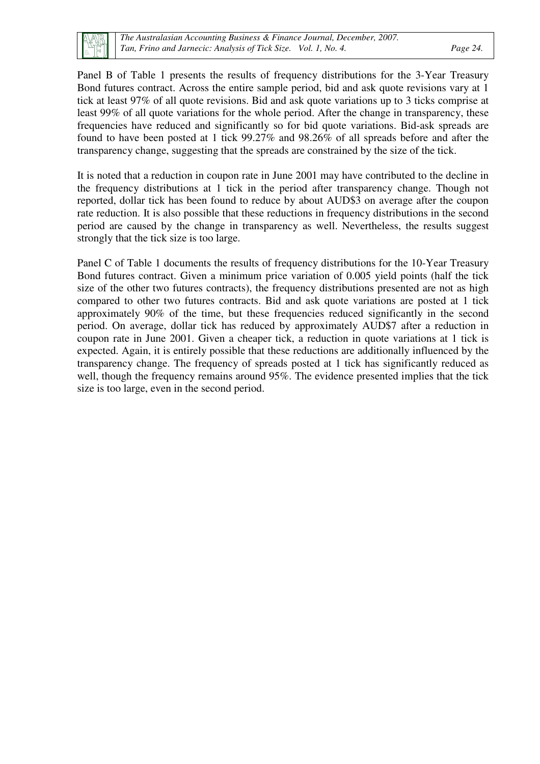

Panel B of Table 1 presents the results of frequency distributions for the 3-Year Treasury Bond futures contract. Across the entire sample period, bid and ask quote revisions vary at 1 tick at least 97% of all quote revisions. Bid and ask quote variations up to 3 ticks comprise at least 99% of all quote variations for the whole period. After the change in transparency, these frequencies have reduced and significantly so for bid quote variations. Bid-ask spreads are found to have been posted at 1 tick 99.27% and 98.26% of all spreads before and after the transparency change, suggesting that the spreads are constrained by the size of the tick.

It is noted that a reduction in coupon rate in June 2001 may have contributed to the decline in the frequency distributions at 1 tick in the period after transparency change. Though not reported, dollar tick has been found to reduce by about AUD\$3 on average after the coupon rate reduction. It is also possible that these reductions in frequency distributions in the second period are caused by the change in transparency as well. Nevertheless, the results suggest strongly that the tick size is too large.

Panel C of Table 1 documents the results of frequency distributions for the 10-Year Treasury Bond futures contract. Given a minimum price variation of 0.005 yield points (half the tick size of the other two futures contracts), the frequency distributions presented are not as high compared to other two futures contracts. Bid and ask quote variations are posted at 1 tick approximately 90% of the time, but these frequencies reduced significantly in the second period. On average, dollar tick has reduced by approximately AUD\$7 after a reduction in coupon rate in June 2001. Given a cheaper tick, a reduction in quote variations at 1 tick is expected. Again, it is entirely possible that these reductions are additionally influenced by the transparency change. The frequency of spreads posted at 1 tick has significantly reduced as well, though the frequency remains around 95%. The evidence presented implies that the tick size is too large, even in the second period.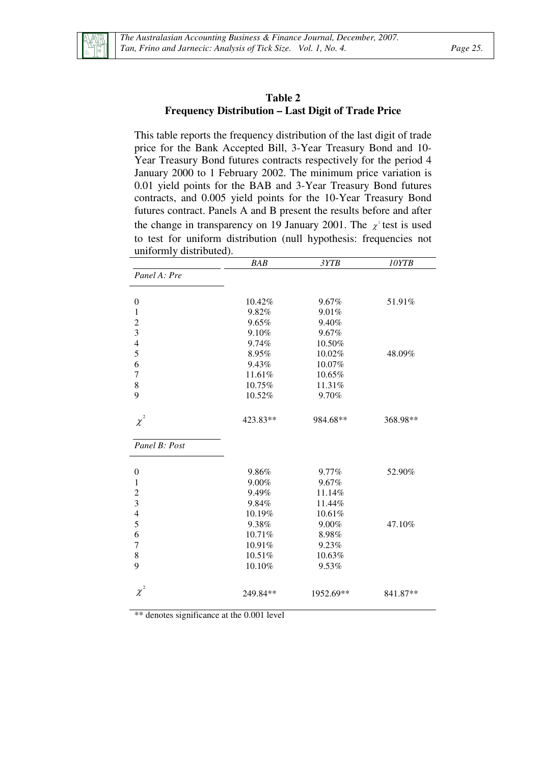

#### **Table 2 Frequency Distribution – Last Digit of Trade Price**

This table reports the frequency distribution of the last digit of trade price for the Bank Accepted Bill, 3-Year Treasury Bond and 10- Year Treasury Bond futures contracts respectively for the period 4 January 2000 to 1 February 2002. The minimum price variation is 0.01 yield points for the BAB and 3-Year Treasury Bond futures contracts, and 0.005 yield points for the 10-Year Treasury Bond futures contract. Panels A and B present the results before and after the change in transparency on 19 January 2001. The  $\chi^2$  test is used to test for uniform distribution (null hypothesis: frequencies not uniformly distributed).

|                  | <b>BAB</b> | 3YTB      | 10YTB    |
|------------------|------------|-----------|----------|
| Panel A: Pre     |            |           |          |
|                  |            |           |          |
| $\boldsymbol{0}$ | 10.42%     | 9.67%     | 51.91%   |
| 1                | 9.82%      | 9.01%     |          |
| $\overline{c}$   | 9.65%      | 9.40%     |          |
| 3                | 9.10%      | 9.67%     |          |
| $\overline{4}$   | 9.74%      | 10.50%    |          |
| 5                | 8.95%      | 10.02%    | 48.09%   |
| 6                | 9.43%      | 10.07%    |          |
| $\tau$           | 11.61%     | 10.65%    |          |
| 8                | 10.75%     | 11.31%    |          |
| 9                | 10.52%     | 9.70%     |          |
| $\chi^2$         | 423.83**   | 984.68**  | 368.98** |
| Panel B: Post    |            |           |          |
| $\boldsymbol{0}$ | 9.86%      | 9.77%     | 52.90%   |
| $\mathbf{1}$     | 9.00%      | 9.67%     |          |
| $\overline{c}$   | 9.49%      | 11.14%    |          |
| 3                | 9.84%      | 11.44%    |          |
| $\overline{4}$   | 10.19%     | 10.61%    |          |
| 5                | 9.38%      | 9.00%     | 47.10%   |
| 6                | 10.71%     | 8.98%     |          |
| $\overline{7}$   | 10.91%     | 9.23%     |          |
| 8                | 10.51%     | 10.63%    |          |
| 9                | 10.10%     | 9.53%     |          |
| $\chi^2$         | 249.84**   | 1952.69** | 841.87** |

\*\* denotes significance at the 0.001 level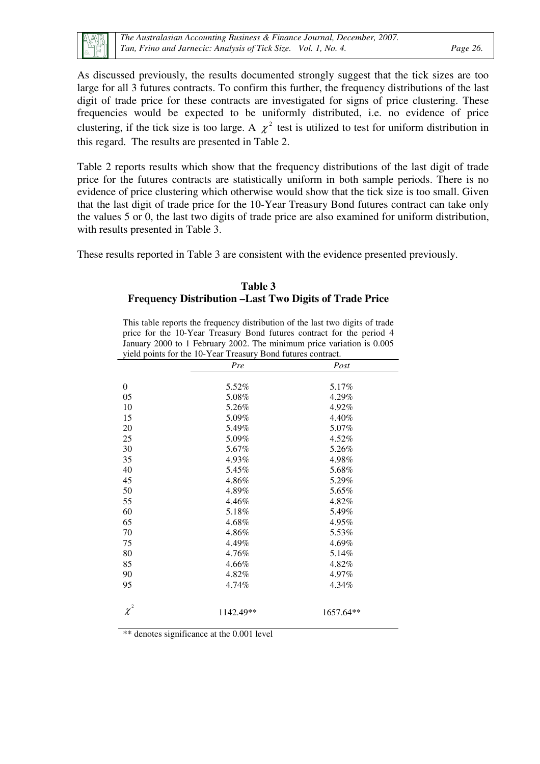As discussed previously, the results documented strongly suggest that the tick sizes are too large for all 3 futures contracts. To confirm this further, the frequency distributions of the last digit of trade price for these contracts are investigated for signs of price clustering. These frequencies would be expected to be uniformly distributed, i.e. no evidence of price clustering, if the tick size is too large. A  $\chi^2$  test is utilized to test for uniform distribution in this regard. The results are presented in Table 2.

Table 2 reports results which show that the frequency distributions of the last digit of trade price for the futures contracts are statistically uniform in both sample periods. There is no evidence of price clustering which otherwise would show that the tick size is too small. Given that the last digit of trade price for the 10-Year Treasury Bond futures contract can take only the values 5 or 0, the last two digits of trade price are also examined for uniform distribution, with results presented in Table 3.

These results reported in Table 3 are consistent with the evidence presented previously.

#### **Table 3 Frequency Distribution –Last Two Digits of Trade Price**

This table reports the frequency distribution of the last two digits of trade price for the 10-Year Treasury Bond futures contract for the period 4 January 2000 to 1 February 2002. The minimum price variation is 0.005 yield points for the 10-Year Treasury Bond futures contract.

|                  | Pre       | Post      |
|------------------|-----------|-----------|
|                  |           |           |
| $\boldsymbol{0}$ | 5.52%     | 5.17%     |
| 05               | 5.08%     | 4.29%     |
| 10               | 5.26%     | 4.92%     |
| 15               | 5.09%     | 4.40%     |
| 20               | 5.49%     | 5.07%     |
| 25               | 5.09%     | 4.52%     |
| 30               | 5.67%     | 5.26%     |
| 35               | 4.93%     | 4.98%     |
| 40               | 5.45%     | 5.68%     |
| 45               | 4.86%     | 5.29%     |
| 50               | 4.89%     | 5.65%     |
| 55               | 4.46%     | 4.82%     |
| 60               | 5.18%     | 5.49%     |
| 65               | 4.68%     | 4.95%     |
| 70               | 4.86%     | 5.53%     |
| 75               | 4.49%     | 4.69%     |
| 80               | 4.76%     | 5.14%     |
| 85               | 4.66%     | 4.82%     |
| 90               | 4.82%     | 4.97%     |
| 95               | 4.74%     | 4.34%     |
| $\chi^2$         | 1142.49** | 1657.64** |
|                  |           |           |

\*\* denotes significance at the 0.001 level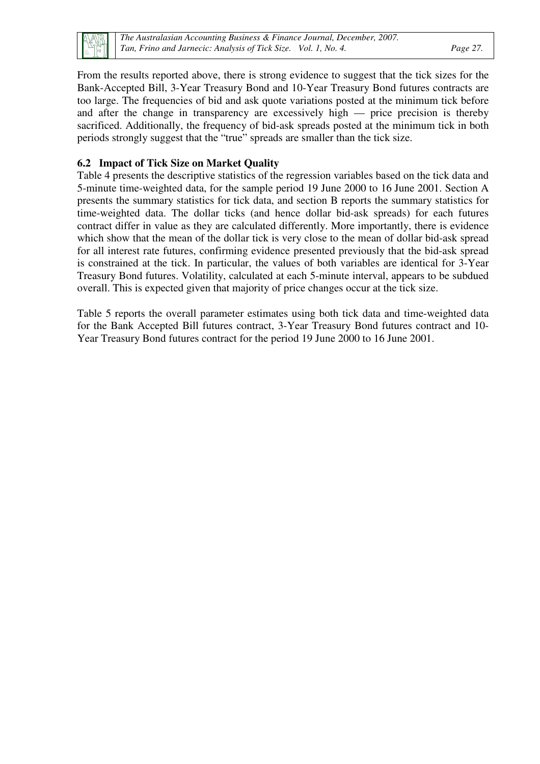

From the results reported above, there is strong evidence to suggest that the tick sizes for the Bank-Accepted Bill, 3-Year Treasury Bond and 10-Year Treasury Bond futures contracts are too large. The frequencies of bid and ask quote variations posted at the minimum tick before and after the change in transparency are excessively high — price precision is thereby sacrificed. Additionally, the frequency of bid-ask spreads posted at the minimum tick in both periods strongly suggest that the "true" spreads are smaller than the tick size.

#### **6.2 Impact of Tick Size on Market Quality**

Table 4 presents the descriptive statistics of the regression variables based on the tick data and 5-minute time-weighted data, for the sample period 19 June 2000 to 16 June 2001. Section A presents the summary statistics for tick data, and section B reports the summary statistics for time-weighted data. The dollar ticks (and hence dollar bid-ask spreads) for each futures contract differ in value as they are calculated differently. More importantly, there is evidence which show that the mean of the dollar tick is very close to the mean of dollar bid-ask spread for all interest rate futures, confirming evidence presented previously that the bid-ask spread is constrained at the tick. In particular, the values of both variables are identical for 3-Year Treasury Bond futures. Volatility, calculated at each 5-minute interval, appears to be subdued overall. This is expected given that majority of price changes occur at the tick size.

Table 5 reports the overall parameter estimates using both tick data and time-weighted data for the Bank Accepted Bill futures contract, 3-Year Treasury Bond futures contract and 10- Year Treasury Bond futures contract for the period 19 June 2000 to 16 June 2001.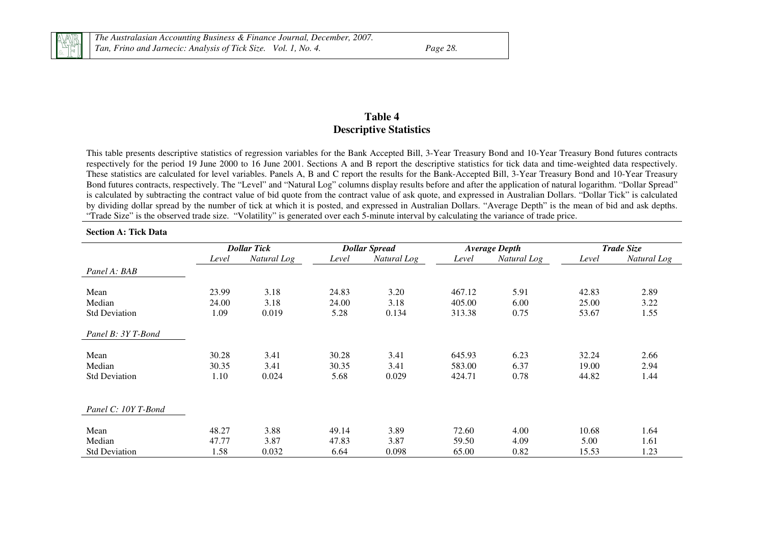

#### **Table 4 Descriptive Statistics**

This table presents descriptive statistics of regression variables for the Bank Accepted Bill, 3-Year Treasury Bond and 10-Year Treasury Bond futures contracts respectively for the period 19 June 2000 to 16 June 2001. Sections A and B report the descriptive statistics for tick data and time-weighted data respectively. These statistics are calculated for level variables. Panels A, B and C report the results for the Bank-Accepted Bill, 3-Year Treasury Bond and 10-Year Treasury Bond futures contracts, respectively. The "Level" and "Natural Log" columns display results before and after the application of natural logarithm. "Dollar Spread" is calculated by subtracting the contract value of bid quote from the contract value of ask quote, and expressed in Australian Dollars. "Dollar Tick" is calculated by dividing dollar spread by the number of tick at which it is posted, and expressed in Australian Dollars. "Average Depth" is the mean of bid and ask depths. "Trade Size" is the observed trade size. "Volatility" is generated over each 5-minute interval by calculating the variance of trade price.

#### **Section A: Tick Data**

|                      |       | <b>Dollar Tick</b> |       | <b>Dollar Spread</b> |        | <b>Average Depth</b> |       | <b>Trade Size</b> |
|----------------------|-------|--------------------|-------|----------------------|--------|----------------------|-------|-------------------|
|                      | Level | Natural Log        | Level | Natural Log          | Level  | Natural Log          | Level | Natural Log       |
| Panel A: BAB         |       |                    |       |                      |        |                      |       |                   |
| Mean                 | 23.99 | 3.18               | 24.83 | 3.20                 | 467.12 | 5.91                 | 42.83 | 2.89              |
| Median               | 24.00 | 3.18               | 24.00 | 3.18                 | 405.00 | 6.00                 | 25.00 | 3.22              |
| <b>Std Deviation</b> | 1.09  | 0.019              | 5.28  | 0.134                | 313.38 | 0.75                 | 53.67 | 1.55              |
| Panel B: 3Y T-Bond   |       |                    |       |                      |        |                      |       |                   |
| Mean                 | 30.28 | 3.41               | 30.28 | 3.41                 | 645.93 | 6.23                 | 32.24 | 2.66              |
| Median               | 30.35 | 3.41               | 30.35 | 3.41                 | 583.00 | 6.37                 | 19.00 | 2.94              |
| <b>Std Deviation</b> | 1.10  | 0.024              | 5.68  | 0.029                | 424.71 | 0.78                 | 44.82 | 1.44              |
| Panel C: 10Y T-Bond  |       |                    |       |                      |        |                      |       |                   |
| Mean                 | 48.27 | 3.88               | 49.14 | 3.89                 | 72.60  | 4.00                 | 10.68 | 1.64              |
| Median               | 47.77 | 3.87               | 47.83 | 3.87                 | 59.50  | 4.09                 | 5.00  | 1.61              |
| <b>Std Deviation</b> | 1.58  | 0.032              | 6.64  | 0.098                | 65.00  | 0.82                 | 15.53 | 1.23              |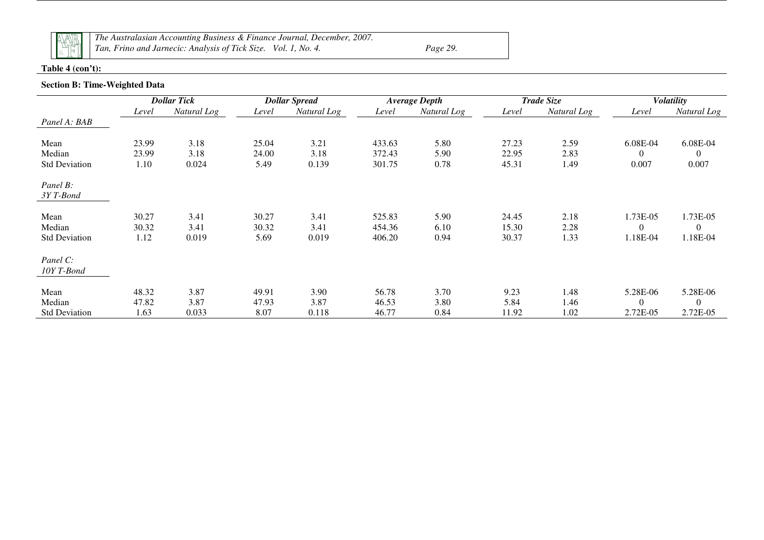

*The Australasian Accounting Business & Finance Journal, December, 2007. Tan, Frino and Jarnecic: Analysis of Tick Size. Vol. 1, No. 4. Page 29.* 

#### **Table 4 (con't):**

#### **Section B: Time-Weighted Data**

|                       |       | <b>Dollar Tick</b> | <b>Dollar Spread</b> |             |        | <b>Average Depth</b> |       | <b>Trade Size</b> |                | <b>Volatility</b> |
|-----------------------|-------|--------------------|----------------------|-------------|--------|----------------------|-------|-------------------|----------------|-------------------|
|                       | Level | Natural Log        | Level                | Natural Log | Level  | Natural Log          | Level | Natural Log       | Level          | Natural Log       |
| Panel A: BAB          |       |                    |                      |             |        |                      |       |                   |                |                   |
| Mean                  | 23.99 | 3.18               | 25.04                | 3.21        | 433.63 | 5.80                 | 27.23 | 2.59              | 6.08E-04       | 6.08E-04          |
| Median                | 23.99 | 3.18               | 24.00                | 3.18        | 372.43 | 5.90                 | 22.95 | 2.83              | $\overline{0}$ | $\overline{0}$    |
| <b>Std Deviation</b>  | 1.10  | 0.024              | 5.49                 | 0.139       | 301.75 | 0.78                 | 45.31 | 1.49              | 0.007          | 0.007             |
| Panel B:<br>3YT-Bond  |       |                    |                      |             |        |                      |       |                   |                |                   |
| Mean                  | 30.27 | 3.41               | 30.27                | 3.41        | 525.83 | 5.90                 | 24.45 | 2.18              | 1.73E-05       | 1.73E-05          |
| Median                | 30.32 | 3.41               | 30.32                | 3.41        | 454.36 | 6.10                 | 15.30 | 2.28              | $\Omega$       | $\overline{0}$    |
| <b>Std Deviation</b>  | 1.12  | 0.019              | 5.69                 | 0.019       | 406.20 | 0.94                 | 30.37 | 1.33              | 1.18E-04       | 1.18E-04          |
| Panel C:<br>10YT-Bond |       |                    |                      |             |        |                      |       |                   |                |                   |
| Mean                  | 48.32 | 3.87               | 49.91                | 3.90        | 56.78  | 3.70                 | 9.23  | 1.48              | 5.28E-06       | 5.28E-06          |
| Median                | 47.82 | 3.87               | 47.93                | 3.87        | 46.53  | 3.80                 | 5.84  | 1.46              | $\theta$       | $\theta$          |
| <b>Std Deviation</b>  | 1.63  | 0.033              | 8.07                 | 0.118       | 46.77  | 0.84                 | 11.92 | 1.02              | 2.72E-05       | 2.72E-05          |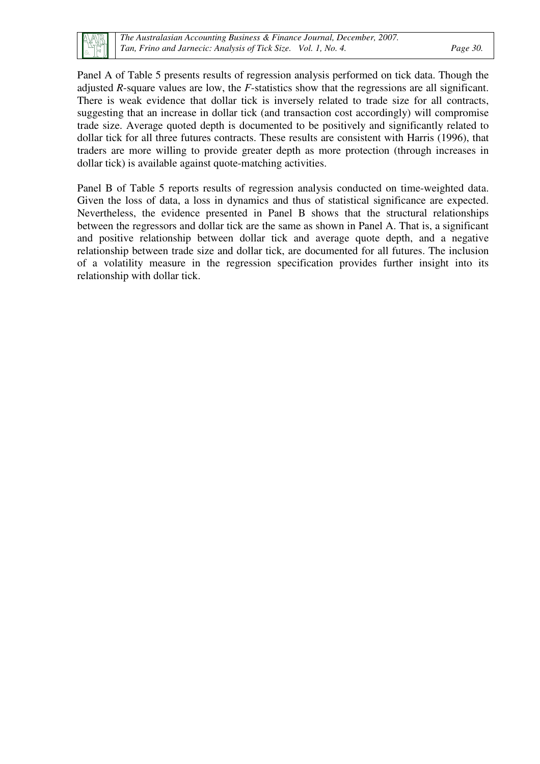

Panel A of Table 5 presents results of regression analysis performed on tick data. Though the adjusted *R*-square values are low, the *F*-statistics show that the regressions are all significant. There is weak evidence that dollar tick is inversely related to trade size for all contracts, suggesting that an increase in dollar tick (and transaction cost accordingly) will compromise trade size. Average quoted depth is documented to be positively and significantly related to dollar tick for all three futures contracts. These results are consistent with Harris (1996), that traders are more willing to provide greater depth as more protection (through increases in dollar tick) is available against quote-matching activities.

Panel B of Table 5 reports results of regression analysis conducted on time-weighted data. Given the loss of data, a loss in dynamics and thus of statistical significance are expected. Nevertheless, the evidence presented in Panel B shows that the structural relationships between the regressors and dollar tick are the same as shown in Panel A. That is, a significant and positive relationship between dollar tick and average quote depth, and a negative relationship between trade size and dollar tick, are documented for all futures. The inclusion of a volatility measure in the regression specification provides further insight into its relationship with dollar tick.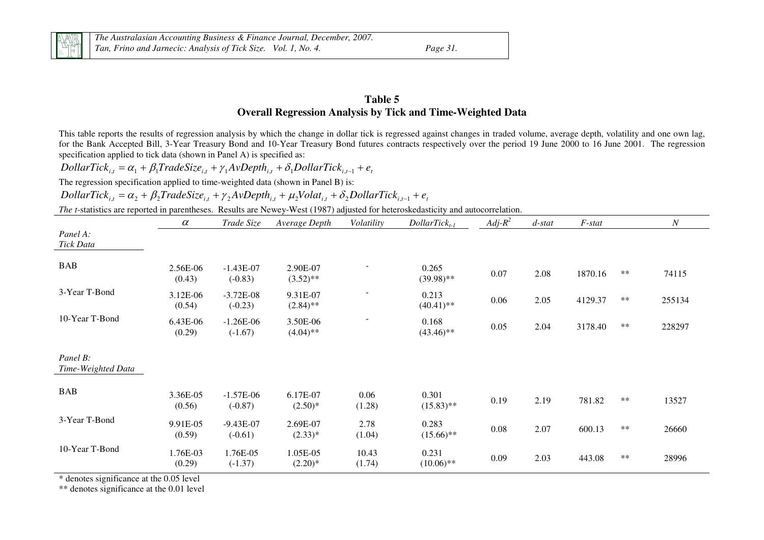

#### **Table 5 Overall Regression Analysis by Tick and Time-Weighted Data**

This table reports the results of regression analysis by which the change in dollar tick is regressed against changes in traded volume, average depth, volatility and one own lag, for the Bank Accepted Bill, 3-Year Treasury Bond and 10-Year Treasury Bond futures contracts respectively over the period 19 June 2000 to 16 June 2001. The regression specification applied to tick data (shown in Panel A) is specified as:

$$
DollarTick_{i,t} = \alpha_1 + \beta_1 TradeSize_{i,t} + \gamma_1 AvDepth_{i,t} + \delta_1 DollarTick_{i,t-1} + e_t
$$

The regression specification applied to time-weighted data (shown in Panel B) is:

$$
DollarTick_{i,t} = \alpha_2 + \beta_2 TradeSize_{i,t} + \gamma_2 AvDepth_{i,t} + \mu_2 Volat_{i,t} + \delta_2 DollarTick_{i,t-1} + e_t
$$

*The t*-statistics are reported in parentheses. Results are Newey-West (1987) adjusted for heteroskedasticity and autocorrelation.

|                                | $\alpha$           | Trade Size               | Average Depth           | Volatility      | $DollarTick_{t-1}$    | $Adj-R^2$ | $d$ -stat | F-stat  |       | $\boldsymbol{N}$ |
|--------------------------------|--------------------|--------------------------|-------------------------|-----------------|-----------------------|-----------|-----------|---------|-------|------------------|
| Panel A:<br>Tick Data          |                    |                          |                         |                 |                       |           |           |         |       |                  |
| <b>BAB</b>                     | 2.56E-06<br>(0.43) | $-1.43E-07$<br>$(-0.83)$ | 2.90E-07<br>$(3.52)$ ** |                 | 0.265<br>$(39.98)$ ** | 0.07      | 2.08      | 1870.16 | $***$ | 74115            |
| 3-Year T-Bond                  | 3.12E-06<br>(0.54) | $-3.72E-08$<br>$(-0.23)$ | 9.31E-07<br>$(2.84)$ ** |                 | 0.213<br>$(40.41)$ ** | 0.06      | 2.05      | 4129.37 | $***$ | 255134           |
| 10-Year T-Bond                 | 6.43E-06<br>(0.29) | $-1.26E-06$<br>$(-1.67)$ | 3.50E-06<br>$(4.04)$ ** |                 | 0.168<br>$(43.46)$ ** | 0.05      | 2.04      | 3178.40 | $***$ | 228297           |
| Panel B:<br>Time-Weighted Data |                    |                          |                         |                 |                       |           |           |         |       |                  |
| <b>BAB</b>                     | 3.36E-05<br>(0.56) | $-1.57E-06$<br>$(-0.87)$ | 6.17E-07<br>$(2.50)*$   | 0.06<br>(1.28)  | 0.301<br>$(15.83)$ ** | 0.19      | 2.19      | 781.82  | $**$  | 13527            |
| 3-Year T-Bond                  | 9.91E-05<br>(0.59) | $-9.43E-07$<br>$(-0.61)$ | 2.69E-07<br>$(2.33)*$   | 2.78<br>(1.04)  | 0.283<br>$(15.66)$ ** | 0.08      | 2.07      | 600.13  | $***$ | 26660            |
| 10-Year T-Bond                 | 1.76E-03<br>(0.29) | 1.76E-05<br>$(-1.37)$    | 1.05E-05<br>$(2.20)*$   | 10.43<br>(1.74) | 0.231<br>$(10.06)$ ** | 0.09      | 2.03      | 443.08  | $***$ | 28996            |

\* denotes significance at the 0.05 level

\*\* denotes significance at the 0.01 level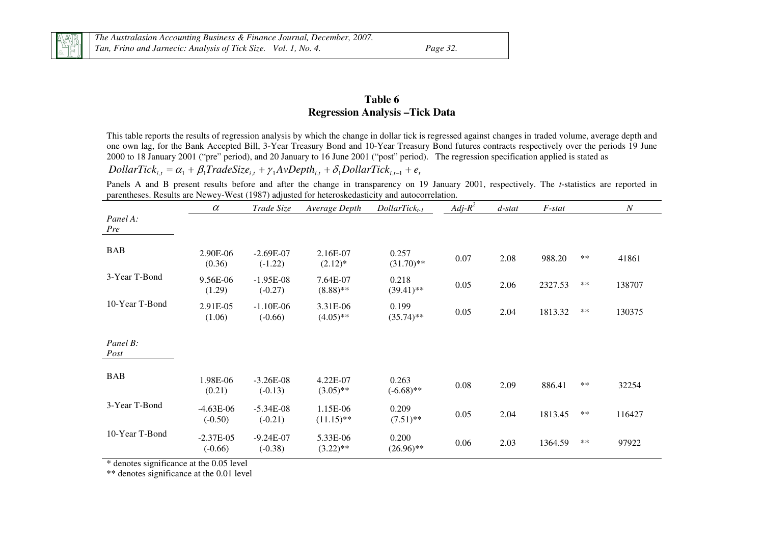#### **Table 6 Regression Analysis –Tick Data**

This table reports the results of regression analysis by which the change in dollar tick is regressed against changes in traded volume, average depth and one own lag, for the Bank Accepted Bill, 3-Year Treasury Bond and 10-Year Treasury Bond futures contracts respectively over the periods 19 June 2000 to 18 January 2001 ("pre" period), and 20 January to 16 June 2001 ("post" period). The regression specification applied is stated as  $DollarTick_{i,t} = \alpha_1 + \beta_1 TradeSize_{i,t} + \gamma_1 AvDepth_{i,t} + \delta_1 DollarTick_{i,t-1} + e_t$ 

Panels A and B present results before and after the change in transparency on 19 January 2001, respectively. The *t*-statistics are reported in parentheses. Results are Newey-West (1987) adjusted for heteroskedasticity and autocorrelation.

|                  | $\alpha$                 | Trade Size               | Average Depth            | $DollarTick_{t-1}$    | $Adj-R^2$ | $d$ -stat | F-stat  |       | $\cal N$ |
|------------------|--------------------------|--------------------------|--------------------------|-----------------------|-----------|-----------|---------|-------|----------|
| Panel A:<br>Pre  |                          |                          |                          |                       |           |           |         |       |          |
| <b>BAB</b>       | 2.90E-06<br>(0.36)       | $-2.69E-07$<br>$(-1.22)$ | 2.16E-07<br>$(2.12)^*$   | 0.257<br>$(31.70)**$  | 0.07      | 2.08      | 988.20  | $***$ | 41861    |
| 3-Year T-Bond    | 9.56E-06<br>(1.29)       | $-1.95E-08$<br>$(-0.27)$ | 7.64E-07<br>$(8.88)$ **  | 0.218<br>$(39.41)$ ** | 0.05      | 2.06      | 2327.53 | $***$ | 138707   |
| 10-Year T-Bond   | 2.91E-05<br>(1.06)       | $-1.10E-06$<br>$(-0.66)$ | 3.31E-06<br>$(4.05)$ **  | 0.199<br>$(35.74)$ ** | 0.05      | 2.04      | 1813.32 | $***$ | 130375   |
| Panel B:<br>Post |                          |                          |                          |                       |           |           |         |       |          |
| <b>BAB</b>       | 1.98E-06<br>(0.21)       | $-3.26E-08$<br>$(-0.13)$ | 4.22E-07<br>$(3.05)$ **  | 0.263<br>$(-6.68)$ ** | 0.08      | 2.09      | 886.41  | $**$  | 32254    |
| 3-Year T-Bond    | $-4.63E-06$<br>$(-0.50)$ | $-5.34E-08$<br>$(-0.21)$ | 1.15E-06<br>$(11.15)$ ** | 0.209<br>$(7.51)$ **  | 0.05      | 2.04      | 1813.45 | $***$ | 116427   |
| 10-Year T-Bond   | $-2.37E-05$<br>$(-0.66)$ | $-9.24E-07$<br>$(-0.38)$ | 5.33E-06<br>$(3.22)$ **  | 0.200<br>$(26.96)$ ** | 0.06      | 2.03      | 1364.59 | $***$ | 97922    |

\* denotes significance at the 0.05 level

\*\* denotes significance at the 0.01 level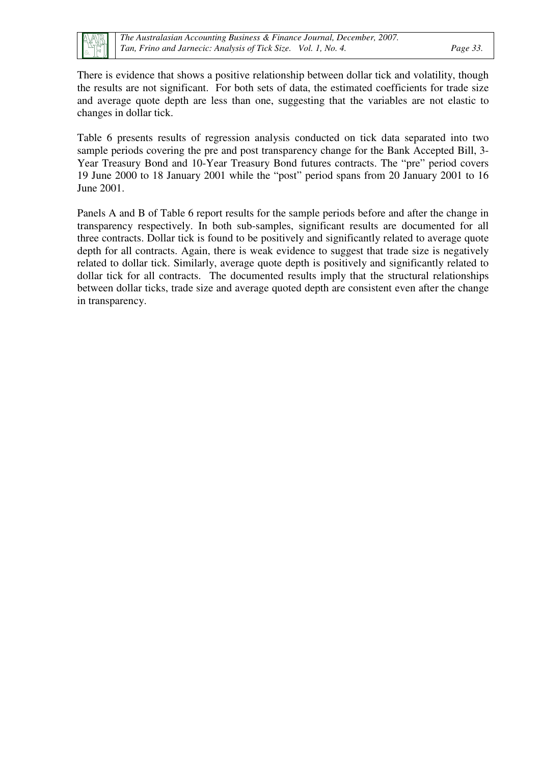There is evidence that shows a positive relationship between dollar tick and volatility, though the results are not significant. For both sets of data, the estimated coefficients for trade size and average quote depth are less than one, suggesting that the variables are not elastic to changes in dollar tick.

Table 6 presents results of regression analysis conducted on tick data separated into two sample periods covering the pre and post transparency change for the Bank Accepted Bill, 3- Year Treasury Bond and 10-Year Treasury Bond futures contracts. The "pre" period covers 19 June 2000 to 18 January 2001 while the "post" period spans from 20 January 2001 to 16 June 2001.

Panels A and B of Table 6 report results for the sample periods before and after the change in transparency respectively. In both sub-samples, significant results are documented for all three contracts. Dollar tick is found to be positively and significantly related to average quote depth for all contracts. Again, there is weak evidence to suggest that trade size is negatively related to dollar tick. Similarly, average quote depth is positively and significantly related to dollar tick for all contracts. The documented results imply that the structural relationships between dollar ticks, trade size and average quoted depth are consistent even after the change in transparency.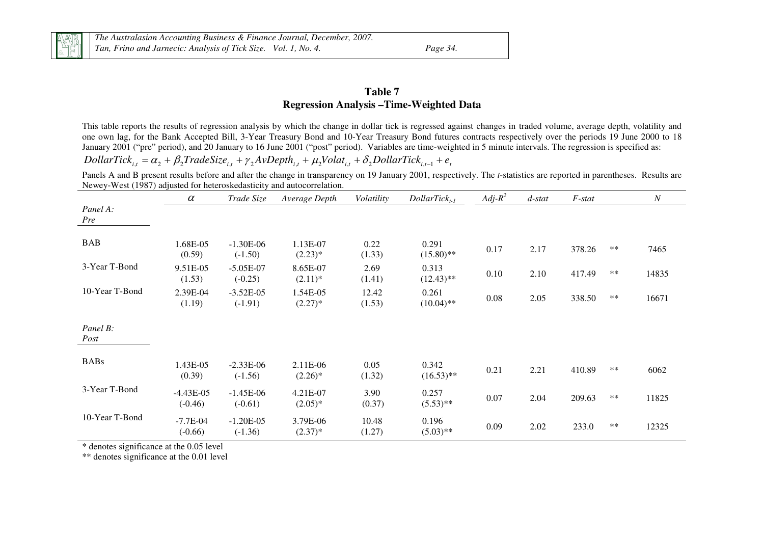#### **Table 7 Regression Analysis –Time-Weighted Data**

This table reports the results of regression analysis by which the change in dollar tick is regressed against changes in traded volume, average depth, volatility and one own lag, for the Bank Accepted Bill, 3-Year Treasury Bond and 10-Year Treasury Bond futures contracts respectively over the periods 19 June 2000 to 18 January 2001 ("pre" period), and 20 January to 16 June 2001 ("post" period). Variables are time-weighted in 5 minute intervals. The regression is specified as:  $DollarTick_{i,t} = \alpha_2 + \beta_2 TradeSize_{i,t} + \gamma_2 A vDepth_{i,t} + \mu_2 Volat_{i,t} + \delta_2 DollarTick_{i,t-1} + e_t$ 

Panels A and B present results before and after the change in transparency on 19 January 2001, respectively. The *t*-statistics are reported in parentheses. Results are Newey-West (1987) adjusted for heteroskedasticity and autocorrelation.

|                  | $\alpha$                 | Trade Size               | Average Depth          | Volatility      | $DollarTick_{t-1}$    | $Adj-R^2$ | $d$ -stat | F-stat |       | $\cal N$ |
|------------------|--------------------------|--------------------------|------------------------|-----------------|-----------------------|-----------|-----------|--------|-------|----------|
| Panel A:<br>Pre  |                          |                          |                        |                 |                       |           |           |        |       |          |
| <b>BAB</b>       | 1.68E-05<br>(0.59)       | $-1.30E-06$<br>$(-1.50)$ | 1.13E-07<br>$(2.23)*$  | 0.22<br>(1.33)  | 0.291<br>$(15.80)$ ** | 0.17      | 2.17      | 378.26 | $***$ | 7465     |
| 3-Year T-Bond    | 9.51E-05<br>(1.53)       | $-5.05E-07$<br>$(-0.25)$ | 8.65E-07<br>$(2.11)^*$ | 2.69<br>(1.41)  | 0.313<br>$(12.43)$ ** | 0.10      | 2.10      | 417.49 | $***$ | 14835    |
| 10-Year T-Bond   | 2.39E-04<br>(1.19)       | $-3.52E-05$<br>$(-1.91)$ | 1.54E-05<br>$(2.27)^*$ | 12.42<br>(1.53) | 0.261<br>$(10.04)$ ** | 0.08      | 2.05      | 338.50 | $***$ | 16671    |
| Panel B:<br>Post |                          |                          |                        |                 |                       |           |           |        |       |          |
| <b>BABs</b>      | 1.43E-05<br>(0.39)       | $-2.33E-06$<br>$(-1.56)$ | 2.11E-06<br>$(2.26)^*$ | 0.05<br>(1.32)  | 0.342<br>$(16.53)$ ** | 0.21      | 2.21      | 410.89 | $***$ | 6062     |
| 3-Year T-Bond    | $-4.43E-05$<br>$(-0.46)$ | $-1.45E-06$<br>$(-0.61)$ | 4.21E-07<br>$(2.05)^*$ | 3.90<br>(0.37)  | 0.257<br>$(5.53)$ **  | 0.07      | 2.04      | 209.63 | $***$ | 11825    |
| 10-Year T-Bond   | $-7.7E-04$<br>$(-0.66)$  | $-1.20E-05$<br>$(-1.36)$ | 3.79E-06<br>$(2.37)^*$ | 10.48<br>(1.27) | 0.196<br>$(5.03)$ **  | 0.09      | 2.02      | 233.0  | $***$ | 12325    |

\* denotes significance at the 0.05 level

\*\* denotes significance at the 0.01 level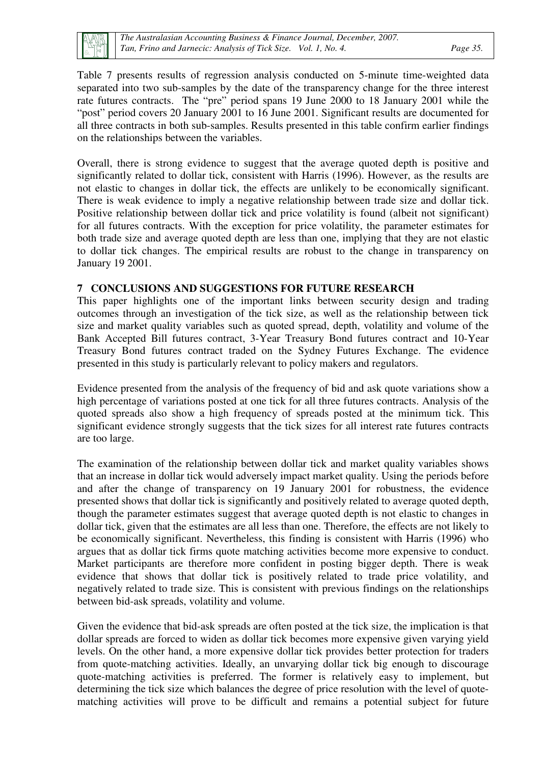

Table 7 presents results of regression analysis conducted on 5-minute time-weighted data separated into two sub-samples by the date of the transparency change for the three interest rate futures contracts. The "pre" period spans 19 June 2000 to 18 January 2001 while the "post" period covers 20 January 2001 to 16 June 2001. Significant results are documented for all three contracts in both sub-samples. Results presented in this table confirm earlier findings on the relationships between the variables.

Overall, there is strong evidence to suggest that the average quoted depth is positive and significantly related to dollar tick, consistent with Harris (1996). However, as the results are not elastic to changes in dollar tick, the effects are unlikely to be economically significant. There is weak evidence to imply a negative relationship between trade size and dollar tick. Positive relationship between dollar tick and price volatility is found (albeit not significant) for all futures contracts. With the exception for price volatility, the parameter estimates for both trade size and average quoted depth are less than one, implying that they are not elastic to dollar tick changes. The empirical results are robust to the change in transparency on January 19 2001.

#### **7 CONCLUSIONS AND SUGGESTIONS FOR FUTURE RESEARCH**

This paper highlights one of the important links between security design and trading outcomes through an investigation of the tick size, as well as the relationship between tick size and market quality variables such as quoted spread, depth, volatility and volume of the Bank Accepted Bill futures contract, 3-Year Treasury Bond futures contract and 10-Year Treasury Bond futures contract traded on the Sydney Futures Exchange. The evidence presented in this study is particularly relevant to policy makers and regulators.

Evidence presented from the analysis of the frequency of bid and ask quote variations show a high percentage of variations posted at one tick for all three futures contracts. Analysis of the quoted spreads also show a high frequency of spreads posted at the minimum tick. This significant evidence strongly suggests that the tick sizes for all interest rate futures contracts are too large.

The examination of the relationship between dollar tick and market quality variables shows that an increase in dollar tick would adversely impact market quality. Using the periods before and after the change of transparency on 19 January 2001 for robustness, the evidence presented shows that dollar tick is significantly and positively related to average quoted depth, though the parameter estimates suggest that average quoted depth is not elastic to changes in dollar tick, given that the estimates are all less than one. Therefore, the effects are not likely to be economically significant. Nevertheless, this finding is consistent with Harris (1996) who argues that as dollar tick firms quote matching activities become more expensive to conduct. Market participants are therefore more confident in posting bigger depth. There is weak evidence that shows that dollar tick is positively related to trade price volatility, and negatively related to trade size. This is consistent with previous findings on the relationships between bid-ask spreads, volatility and volume.

Given the evidence that bid-ask spreads are often posted at the tick size, the implication is that dollar spreads are forced to widen as dollar tick becomes more expensive given varying yield levels. On the other hand, a more expensive dollar tick provides better protection for traders from quote-matching activities. Ideally, an unvarying dollar tick big enough to discourage quote-matching activities is preferred. The former is relatively easy to implement, but determining the tick size which balances the degree of price resolution with the level of quotematching activities will prove to be difficult and remains a potential subject for future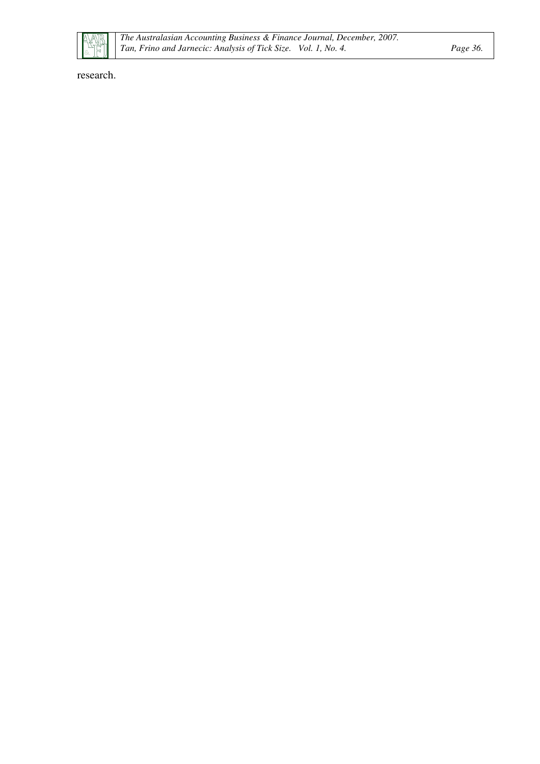research.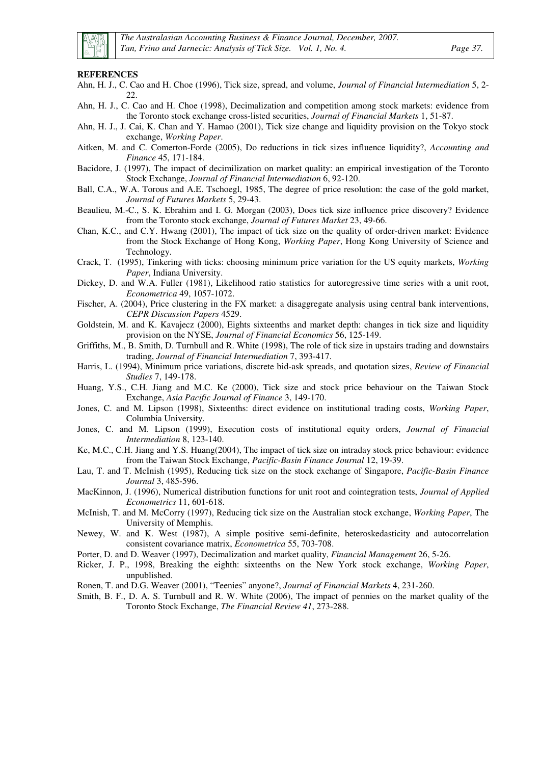

#### **REFERENCES**

- Ahn, H. J., C. Cao and H. Choe (1996), Tick size, spread, and volume, *Journal of Financial Intermediation* 5, 2- 22.
- Ahn, H. J., C. Cao and H. Choe (1998), Decimalization and competition among stock markets: evidence from the Toronto stock exchange cross-listed securities, *Journal of Financial Markets* 1, 51-87.
- Ahn, H. J., J. Cai, K. Chan and Y. Hamao (2001), Tick size change and liquidity provision on the Tokyo stock exchange, *Working Paper*.
- Aitken, M. and C. Comerton-Forde (2005), Do reductions in tick sizes influence liquidity?, *Accounting and Finance* 45, 171-184.
- Bacidore, J. (1997), The impact of decimilization on market quality: an empirical investigation of the Toronto Stock Exchange, *Journal of Financial Intermediation* 6, 92-120.
- Ball, C.A., W.A. Torous and A.E. Tschoegl, 1985, The degree of price resolution: the case of the gold market, *Journal of Futures Markets* 5, 29-43.
- Beaulieu, M.-C., S. K. Ebrahim and I. G. Morgan (2003), Does tick size influence price discovery? Evidence from the Toronto stock exchange, *Journal of Futures Market* 23, 49-66.
- Chan, K.C., and C.Y. Hwang (2001), The impact of tick size on the quality of order-driven market: Evidence from the Stock Exchange of Hong Kong, *Working Paper*, Hong Kong University of Science and Technology.
- Crack, T. (1995), Tinkering with ticks: choosing minimum price variation for the US equity markets, *Working Paper*, Indiana University.
- Dickey, D. and W.A. Fuller (1981), Likelihood ratio statistics for autoregressive time series with a unit root, *Econometrica* 49, 1057-1072.
- Fischer, A. (2004), Price clustering in the FX market: a disaggregate analysis using central bank interventions, *CEPR Discussion Papers* 4529.
- Goldstein, M. and K. Kavajecz (2000), Eights sixteenths and market depth: changes in tick size and liquidity provision on the NYSE, *Journal of Financial Economics* 56, 125-149.
- Griffiths, M., B. Smith, D. Turnbull and R. White (1998), The role of tick size in upstairs trading and downstairs trading, *Journal of Financial Intermediation* 7, 393-417.
- Harris, L. (1994), Minimum price variations, discrete bid-ask spreads, and quotation sizes, *Review of Financial Studies* 7, 149-178.
- Huang, Y.S., C.H. Jiang and M.C. Ke (2000), Tick size and stock price behaviour on the Taiwan Stock Exchange, *Asia Pacific Journal of Finance* 3, 149-170.
- Jones, C. and M. Lipson (1998), Sixteenths: direct evidence on institutional trading costs, *Working Paper*, Columbia University.
- Jones, C. and M. Lipson (1999), Execution costs of institutional equity orders, *Journal of Financial Intermediation* 8, 123-140.
- Ke, M.C., C.H. Jiang and Y.S. Huang(2004), The impact of tick size on intraday stock price behaviour: evidence from the Taiwan Stock Exchange, *Pacific-Basin Finance Journal* 12, 19-39.
- Lau, T. and T. McInish (1995), Reducing tick size on the stock exchange of Singapore, *Pacific-Basin Finance Journal* 3, 485-596.
- MacKinnon, J. (1996), Numerical distribution functions for unit root and cointegration tests, *Journal of Applied Econometrics* 11, 601-618.
- McInish, T. and M. McCorry (1997), Reducing tick size on the Australian stock exchange, *Working Paper*, The University of Memphis.
- Newey, W. and K. West (1987), A simple positive semi-definite, heteroskedasticity and autocorrelation consistent covariance matrix, *Econometrica* 55, 703-708.
- Porter, D. and D. Weaver (1997), Decimalization and market quality, *Financial Management* 26, 5-26.
- Ricker, J. P., 1998, Breaking the eighth: sixteenths on the New York stock exchange, *Working Paper*, unpublished.
- Ronen, T. and D.G. Weaver (2001), "Teenies" anyone?, *Journal of Financial Markets* 4, 231-260.
- Smith, B. F., D. A. S. Turnbull and R. W. White (2006), The impact of pennies on the market quality of the Toronto Stock Exchange, *The Financial Review 41*, 273-288.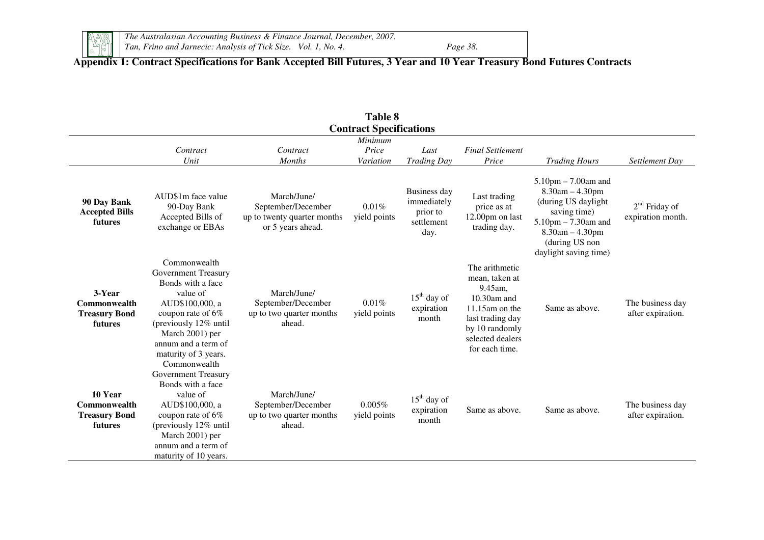

*The Australasian Accounting Business & Finance Journal, December, 2007. Tan, Frino and Jarnecic: Analysis of Tick Size. Vol. 1, No. 4. Page 38.* 

Page 38.

## **Appendix 1: Contract Specifications for Bank Accepted Bill Futures, 3 Year and 10 Year Treasury Bond Futures Contracts**

| Table 8                                                    |                                                                                                                                                                                                                                |                                                                                       |                                |                                                               |                                                                                                                                                                |                                                                                                                                                                                     |                                       |  |  |  |
|------------------------------------------------------------|--------------------------------------------------------------------------------------------------------------------------------------------------------------------------------------------------------------------------------|---------------------------------------------------------------------------------------|--------------------------------|---------------------------------------------------------------|----------------------------------------------------------------------------------------------------------------------------------------------------------------|-------------------------------------------------------------------------------------------------------------------------------------------------------------------------------------|---------------------------------------|--|--|--|
|                                                            |                                                                                                                                                                                                                                |                                                                                       | <b>Contract Specifications</b> |                                                               |                                                                                                                                                                |                                                                                                                                                                                     |                                       |  |  |  |
|                                                            | Contract                                                                                                                                                                                                                       | Contract                                                                              | Minimum<br>Price               | Last                                                          | <b>Final Settlement</b>                                                                                                                                        |                                                                                                                                                                                     |                                       |  |  |  |
|                                                            | Unit                                                                                                                                                                                                                           | <b>Months</b>                                                                         | Variation                      | <b>Trading Day</b>                                            | Price                                                                                                                                                          | <b>Trading Hours</b>                                                                                                                                                                | Settlement Day                        |  |  |  |
| 90 Day Bank<br><b>Accepted Bills</b><br>futures            | AUD\$1m face value<br>90-Day Bank<br>Accepted Bills of<br>exchange or EBAs                                                                                                                                                     | March/June/<br>September/December<br>up to twenty quarter months<br>or 5 years ahead. | 0.01%<br>yield points          | Business day<br>immediately<br>prior to<br>settlement<br>day. | Last trading<br>price as at<br>12.00pm on last<br>trading day.                                                                                                 | $5.10$ pm $- 7.00$ am and<br>$8.30$ am $-4.30$ pm<br>(during US daylight<br>saving time)<br>$5.10$ pm $- 7.30$ am and<br>8.30am - 4.30pm<br>(during US non<br>daylight saving time) | $2nd$ Friday of<br>expiration month.  |  |  |  |
| 3-Year<br>Commonwealth<br><b>Treasury Bond</b><br>futures  | Commonwealth<br><b>Government Treasury</b><br>Bonds with a face<br>value of<br>AUD\$100,000, a<br>coupon rate of 6%<br>(previously 12% until<br>March 2001) per<br>annum and a term of<br>maturity of 3 years.<br>Commonwealth | March/June/<br>September/December<br>up to two quarter months<br>ahead.               | $0.01\%$<br>yield points       | $15th$ day of<br>expiration<br>month                          | The arithmetic<br>mean, taken at<br>9.45am,<br>$10.30$ am and<br>$11.15$ am on the<br>last trading day<br>by 10 randomly<br>selected dealers<br>for each time. | Same as above.                                                                                                                                                                      | The business day<br>after expiration. |  |  |  |
| 10 Year<br>Commonwealth<br><b>Treasury Bond</b><br>futures | <b>Government Treasury</b><br>Bonds with a face<br>value of<br>AUD\$100,000, a<br>coupon rate of 6%<br>(previously 12% until<br>March 2001) per<br>annum and a term of<br>maturity of 10 years.                                | March/June/<br>September/December<br>up to two quarter months<br>ahead.               | 0.005%<br>yield points         | $15th$ day of<br>expiration<br>month                          | Same as above.                                                                                                                                                 | Same as above.                                                                                                                                                                      | The business day<br>after expiration. |  |  |  |